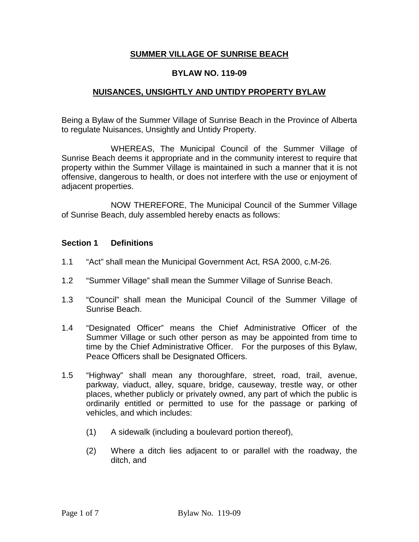### **SUMMER VILLAGE OF SUNRISE BEACH**

### **BYLAW NO. 119-09**

### **NUISANCES, UNSIGHTLY AND UNTIDY PROPERTY BYLAW**

Being a Bylaw of the Summer Village of Sunrise Beach in the Province of Alberta to regulate Nuisances, Unsightly and Untidy Property.

WHEREAS, The Municipal Council of the Summer Village of Sunrise Beach deems it appropriate and in the community interest to require that property within the Summer Village is maintained in such a manner that it is not offensive, dangerous to health, or does not interfere with the use or enjoyment of adjacent properties.

NOW THEREFORE, The Municipal Council of the Summer Village of Sunrise Beach, duly assembled hereby enacts as follows:

#### **Section 1 Definitions**

- 1.1 "Act" shall mean the Municipal Government Act, RSA 2000, c.M-26.
- 1.2 "Summer Village" shall mean the Summer Village of Sunrise Beach.
- 1.3 "Council" shall mean the Municipal Council of the Summer Village of Sunrise Beach.
- 1.4 "Designated Officer" means the Chief Administrative Officer of the Summer Village or such other person as may be appointed from time to time by the Chief Administrative Officer. For the purposes of this Bylaw, Peace Officers shall be Designated Officers.
- 1.5 "Highway" shall mean any thoroughfare, street, road, trail, avenue, parkway, viaduct, alley, square, bridge, causeway, trestle way, or other places, whether publicly or privately owned, any part of which the public is ordinarily entitled or permitted to use for the passage or parking of vehicles, and which includes:
	- (1) A sidewalk (including a boulevard portion thereof),
	- (2) Where a ditch lies adjacent to or parallel with the roadway, the ditch, and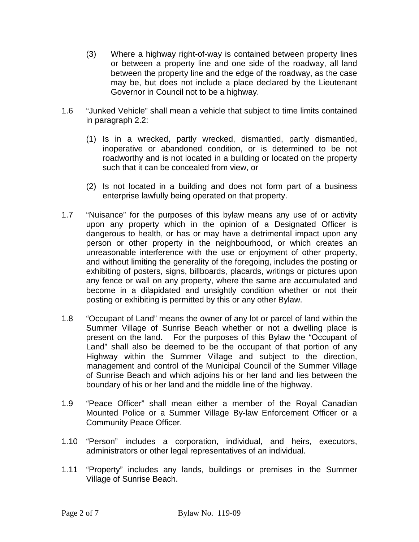- (3) Where a highway right-of-way is contained between property lines or between a property line and one side of the roadway, all land between the property line and the edge of the roadway, as the case may be, but does not include a place declared by the Lieutenant Governor in Council not to be a highway.
- 1.6 "Junked Vehicle" shall mean a vehicle that subject to time limits contained in paragraph 2.2:
	- (1) Is in a wrecked, partly wrecked, dismantled, partly dismantled, inoperative or abandoned condition, or is determined to be not roadworthy and is not located in a building or located on the property such that it can be concealed from view, or
	- (2) Is not located in a building and does not form part of a business enterprise lawfully being operated on that property.
- 1.7 "Nuisance" for the purposes of this bylaw means any use of or activity upon any property which in the opinion of a Designated Officer is dangerous to health, or has or may have a detrimental impact upon any person or other property in the neighbourhood, or which creates an unreasonable interference with the use or enjoyment of other property, and without limiting the generality of the foregoing, includes the posting or exhibiting of posters, signs, billboards, placards, writings or pictures upon any fence or wall on any property, where the same are accumulated and become in a dilapidated and unsightly condition whether or not their posting or exhibiting is permitted by this or any other Bylaw.
- 1.8 "Occupant of Land" means the owner of any lot or parcel of land within the Summer Village of Sunrise Beach whether or not a dwelling place is present on the land. For the purposes of this Bylaw the "Occupant of Land" shall also be deemed to be the occupant of that portion of any Highway within the Summer Village and subject to the direction, management and control of the Municipal Council of the Summer Village of Sunrise Beach and which adjoins his or her land and lies between the boundary of his or her land and the middle line of the highway.
- 1.9 "Peace Officer" shall mean either a member of the Royal Canadian Mounted Police or a Summer Village By-law Enforcement Officer or a Community Peace Officer.
- 1.10 "Person" includes a corporation, individual, and heirs, executors, administrators or other legal representatives of an individual.
- 1.11 "Property" includes any lands, buildings or premises in the Summer Village of Sunrise Beach.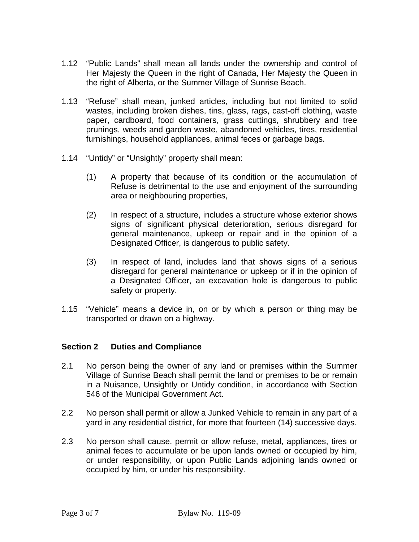- 1.12 "Public Lands" shall mean all lands under the ownership and control of Her Majesty the Queen in the right of Canada, Her Majesty the Queen in the right of Alberta, or the Summer Village of Sunrise Beach.
- 1.13 "Refuse" shall mean, junked articles, including but not limited to solid wastes, including broken dishes, tins, glass, rags, cast-off clothing, waste paper, cardboard, food containers, grass cuttings, shrubbery and tree prunings, weeds and garden waste, abandoned vehicles, tires, residential furnishings, household appliances, animal feces or garbage bags.
- 1.14 "Untidy" or "Unsightly" property shall mean:
	- (1) A property that because of its condition or the accumulation of Refuse is detrimental to the use and enjoyment of the surrounding area or neighbouring properties,
	- (2) In respect of a structure, includes a structure whose exterior shows signs of significant physical deterioration, serious disregard for general maintenance, upkeep or repair and in the opinion of a Designated Officer, is dangerous to public safety.
	- (3) In respect of land, includes land that shows signs of a serious disregard for general maintenance or upkeep or if in the opinion of a Designated Officer, an excavation hole is dangerous to public safety or property.
- 1.15 "Vehicle" means a device in, on or by which a person or thing may be transported or drawn on a highway.

# **Section 2 Duties and Compliance**

- 2.1 No person being the owner of any land or premises within the Summer Village of Sunrise Beach shall permit the land or premises to be or remain in a Nuisance, Unsightly or Untidy condition, in accordance with Section 546 of the Municipal Government Act.
- 2.2 No person shall permit or allow a Junked Vehicle to remain in any part of a yard in any residential district, for more that fourteen (14) successive days.
- 2.3 No person shall cause, permit or allow refuse, metal, appliances, tires or animal feces to accumulate or be upon lands owned or occupied by him, or under responsibility, or upon Public Lands adjoining lands owned or occupied by him, or under his responsibility.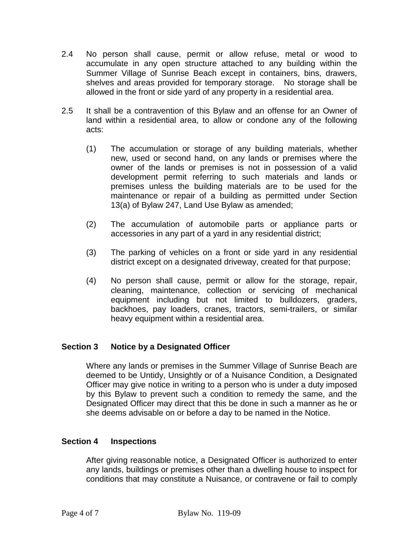- 2.4 No person shall cause, permit or allow refuse, metal or wood to accumulate in any open structure attached to any building within the Summer Village of Sunrise Beach except in containers, bins, drawers, shelves and areas provided for temporary storage. No storage shall be allowed in the front or side yard of any property in a residential area.
- 2.5 It shall be a contravention of this Bylaw and an offense for an Owner of land within a residential area, to allow or condone any of the following acts:
	- (1) The accumulation or storage of any building materials, whether new, used or second hand, on any lands or premises where the owner of the lands or premises is not in possession of a valid development permit referring to such materials and lands or premises unless the building materials are to be used for the maintenance or repair of a building as permitted under Section 13(a) of Bylaw 247, Land Use Bylaw as amended;
	- (2) The accumulation of automobile parts or appliance parts or accessories in any part of a yard in any residential district;
	- (3) The parking of vehicles on a front or side yard in any residential district except on a designated driveway, created for that purpose;
	- (4) No person shall cause, permit or allow for the storage, repair, cleaning, maintenance, collection or servicing of mechanical equipment including but not limited to bulldozers, graders, backhoes, pay loaders, cranes, tractors, semi-trailers, or similar heavy equipment within a residential area.

# **Section 3 Notice by a Designated Officer**

Where any lands or premises in the Summer Village of Sunrise Beach are deemed to be Untidy, Unsightly or of a Nuisance Condition, a Designated Officer may give notice in writing to a person who is under a duty imposed by this Bylaw to prevent such a condition to remedy the same, and the Designated Officer may direct that this be done in such a manner as he or she deems advisable on or before a day to be named in the Notice.

# **Section 4 Inspections**

After giving reasonable notice, a Designated Officer is authorized to enter any lands, buildings or premises other than a dwelling house to inspect for conditions that may constitute a Nuisance, or contravene or fail to comply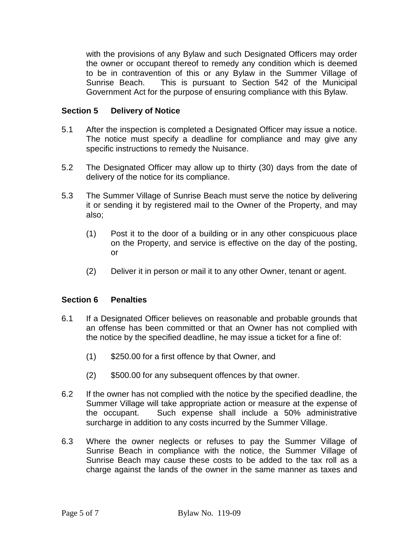with the provisions of any Bylaw and such Designated Officers may order the owner or occupant thereof to remedy any condition which is deemed to be in contravention of this or any Bylaw in the Summer Village of Sunrise Beach. This is pursuant to Section 542 of the Municipal Government Act for the purpose of ensuring compliance with this Bylaw.

## **Section 5 Delivery of Notice**

- 5.1 After the inspection is completed a Designated Officer may issue a notice. The notice must specify a deadline for compliance and may give any specific instructions to remedy the Nuisance.
- 5.2 The Designated Officer may allow up to thirty (30) days from the date of delivery of the notice for its compliance.
- 5.3 The Summer Village of Sunrise Beach must serve the notice by delivering it or sending it by registered mail to the Owner of the Property, and may also;
	- (1) Post it to the door of a building or in any other conspicuous place on the Property, and service is effective on the day of the posting, or
	- (2) Deliver it in person or mail it to any other Owner, tenant or agent.

### **Section 6 Penalties**

- 6.1 If a Designated Officer believes on reasonable and probable grounds that an offense has been committed or that an Owner has not complied with the notice by the specified deadline, he may issue a ticket for a fine of:
	- (1) \$250.00 for a first offence by that Owner, and
	- (2) \$500.00 for any subsequent offences by that owner.
- 6.2 If the owner has not complied with the notice by the specified deadline, the Summer Village will take appropriate action or measure at the expense of the occupant. Such expense shall include a 50% administrative surcharge in addition to any costs incurred by the Summer Village.
- 6.3 Where the owner neglects or refuses to pay the Summer Village of Sunrise Beach in compliance with the notice, the Summer Village of Sunrise Beach may cause these costs to be added to the tax roll as a charge against the lands of the owner in the same manner as taxes and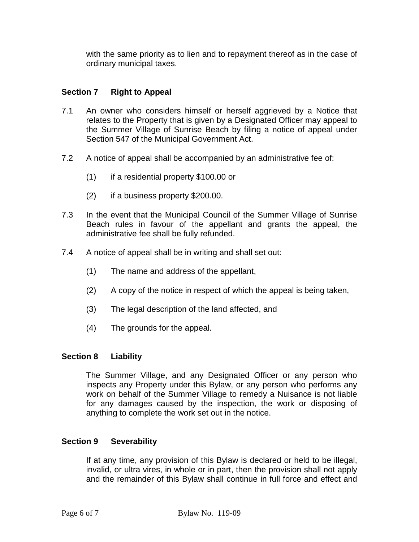with the same priority as to lien and to repayment thereof as in the case of ordinary municipal taxes.

## **Section 7 Right to Appeal**

- 7.1 An owner who considers himself or herself aggrieved by a Notice that relates to the Property that is given by a Designated Officer may appeal to the Summer Village of Sunrise Beach by filing a notice of appeal under Section 547 of the Municipal Government Act.
- 7.2 A notice of appeal shall be accompanied by an administrative fee of:
	- (1) if a residential property \$100.00 or
	- (2) if a business property \$200.00.
- 7.3 In the event that the Municipal Council of the Summer Village of Sunrise Beach rules in favour of the appellant and grants the appeal, the administrative fee shall be fully refunded.
- 7.4 A notice of appeal shall be in writing and shall set out:
	- (1) The name and address of the appellant,
	- (2) A copy of the notice in respect of which the appeal is being taken,
	- (3) The legal description of the land affected, and
	- (4) The grounds for the appeal.

#### **Section 8 Liability**

The Summer Village, and any Designated Officer or any person who inspects any Property under this Bylaw, or any person who performs any work on behalf of the Summer Village to remedy a Nuisance is not liable for any damages caused by the inspection, the work or disposing of anything to complete the work set out in the notice.

#### **Section 9 Severability**

If at any time, any provision of this Bylaw is declared or held to be illegal, invalid, or ultra vires, in whole or in part, then the provision shall not apply and the remainder of this Bylaw shall continue in full force and effect and